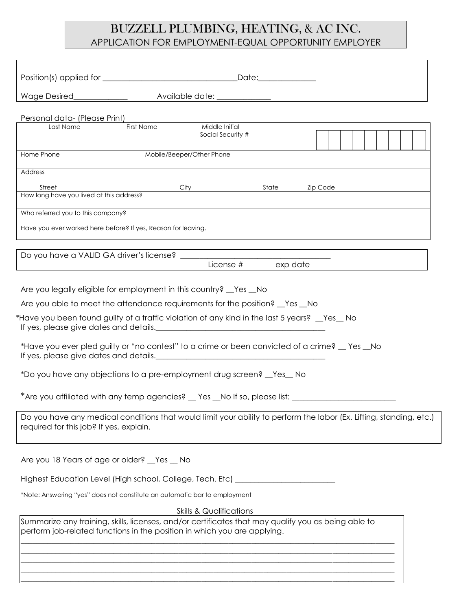# BUZZELL PLUMBING, HEATING, & AC INC. APPLICATION FOR EMPLOYMENT-EQUAL OPPORTUNITY EMPLOYER

| Personal data- (Please Print)<br>Last Name                               | First Name<br>Middle Initial                                                                                                                                                                                                                                                                                                                                                                                                                 |                       |                                                                                                                                                                                                                                |
|--------------------------------------------------------------------------|----------------------------------------------------------------------------------------------------------------------------------------------------------------------------------------------------------------------------------------------------------------------------------------------------------------------------------------------------------------------------------------------------------------------------------------------|-----------------------|--------------------------------------------------------------------------------------------------------------------------------------------------------------------------------------------------------------------------------|
|                                                                          |                                                                                                                                                                                                                                                                                                                                                                                                                                              | Social Security #     |                                                                                                                                                                                                                                |
| Home Phone                                                               | Mobile/Beeper/Other Phone                                                                                                                                                                                                                                                                                                                                                                                                                    |                       |                                                                                                                                                                                                                                |
| Address                                                                  |                                                                                                                                                                                                                                                                                                                                                                                                                                              |                       |                                                                                                                                                                                                                                |
| orreer Side of this address?<br>How long have you lived at this address? |                                                                                                                                                                                                                                                                                                                                                                                                                                              | City State            | Zip Code and the contract of the contract of the contract of the contract of the contract of the contract of the contract of the contract of the contract of the contract of the contract of the contract of the contract of t |
|                                                                          |                                                                                                                                                                                                                                                                                                                                                                                                                                              |                       |                                                                                                                                                                                                                                |
| Who referred you to this company?                                        |                                                                                                                                                                                                                                                                                                                                                                                                                                              |                       |                                                                                                                                                                                                                                |
| Have you ever worked here before? If yes, Reason for leaving.            |                                                                                                                                                                                                                                                                                                                                                                                                                                              |                       |                                                                                                                                                                                                                                |
|                                                                          |                                                                                                                                                                                                                                                                                                                                                                                                                                              |                       |                                                                                                                                                                                                                                |
|                                                                          |                                                                                                                                                                                                                                                                                                                                                                                                                                              | License #<br>exp date |                                                                                                                                                                                                                                |
|                                                                          | Are you legally eligible for employment in this country? _Yes _No<br>Are you able to meet the attendance requirements for the position? <u>Yes</u> _No<br>*Have you been found guilty of a traffic violation of any kind in the last 5 years? $\_\,$ Yes $\_\,$ No<br>*Have you ever pled guilty or "no contest" to a crime or been convicted of a crime? _ Yes _No<br>*Do you have any objections to a pre-employment drug screen? _Yes_ No |                       |                                                                                                                                                                                                                                |
| required for this job? If yes, explain.                                  |                                                                                                                                                                                                                                                                                                                                                                                                                                              |                       | Do you have any medical conditions that would limit your ability to perform the labor (Ex. Lifting, standing, etc.)                                                                                                            |
| Are you 18 Years of age or older? Yes _No                                |                                                                                                                                                                                                                                                                                                                                                                                                                                              |                       |                                                                                                                                                                                                                                |
|                                                                          | Highest Education Level (High school, College, Tech. Etc) ______________________                                                                                                                                                                                                                                                                                                                                                             |                       |                                                                                                                                                                                                                                |
|                                                                          | *Note: Answering "yes" does not constitute an automatic bar to employment                                                                                                                                                                                                                                                                                                                                                                    |                       |                                                                                                                                                                                                                                |
|                                                                          | <b>Skills &amp; Qualifications</b>                                                                                                                                                                                                                                                                                                                                                                                                           |                       |                                                                                                                                                                                                                                |
|                                                                          | Summarize any training, skills, licenses, and/or certificates that may qualify you as being able to<br>perform job-related functions in the position in which you are applying.                                                                                                                                                                                                                                                              |                       |                                                                                                                                                                                                                                |
|                                                                          |                                                                                                                                                                                                                                                                                                                                                                                                                                              |                       |                                                                                                                                                                                                                                |
|                                                                          |                                                                                                                                                                                                                                                                                                                                                                                                                                              |                       |                                                                                                                                                                                                                                |